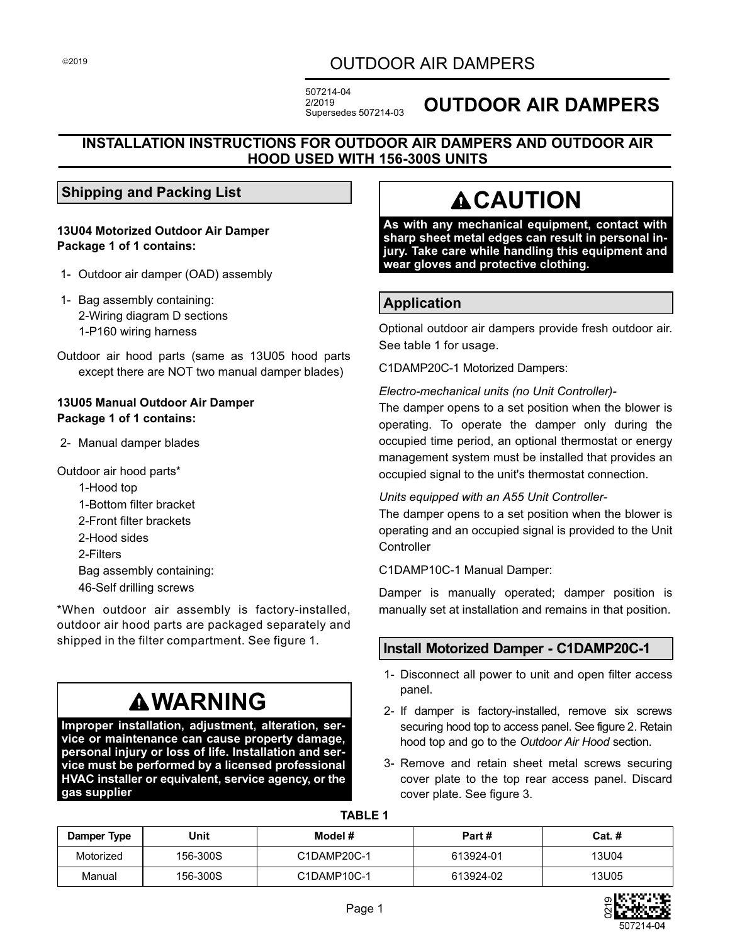## OUTDOOR AIR DAMPERS

507214-04 2/2019 Supersedes 507214-03

# **OUTDOOR AIR DAMPERS**

#### **INSTALLATION INSTRUCTIONS FOR OUTDOOR AIR DAMPERS AND OUTDOOR AIR HOOD USED WITH 156-300S UNITS**

#### **Shipping and Packing List**

**13U04 Motorized Outdoor Air Damper Package 1 of 1 contains:**

- 1- Outdoor air damper (OAD) assembly
- 1- Bag assembly containing: 2-Wiring diagram D sections 1-P160 wiring harness
- Outdoor air hood parts (same as 13U05 hood parts except there are NOT two manual damper blades)

#### **13U05 Manual Outdoor Air Damper Package 1 of 1 contains:**

2- Manual damper blades

Outdoor air hood parts\* 1-Hood top 1-Bottom filter bracket 2-Front filter brackets 2-Hood sides 2-Filters Bag assembly containing: 46-Self drilling screws

\*When outdoor air assembly is factory-installed, outdoor air hood parts are packaged separately and shipped in the filter compartment. See figure [1.](#page-1-0)

# **WARNING**

**Improper installation, adjustment, alteration, service or maintenance can cause property damage, personal injury or loss of life. Installation and service must be performed by a licensed professional HVAC installer or equivalent, service agency, or the gas supplier**

# **ACAUTION**

**As with any mechanical equipment, contact with sharp sheet metal edges can result in personal injury. Take care while handling this equipment and wear gloves and protective clothing.**

### **Application**

Optional outdoor air dampers provide fresh outdoor air. See table 1 for usage.

C1DAMP20C-1 Motorized Dampers:

*Electro-mechanical units (no Unit Controller)-*

The damper opens to a set position when the blower is operating. To operate the damper only during the occupied time period, an optional thermostat or energy management system must be installed that provides an occupied signal to the unit's thermostat connection.

#### *Units equipped with an A55 Unit Controller-*

The damper opens to a set position when the blower is operating and an occupied signal is provided to the Unit **Controller** 

C1DAMP10C-1 Manual Damper:

Damper is manually operated; damper position is manually set at installation and remains in that position.

### **Install Motorized Damper - C1DAMP20C-1**

- 1- Disconnect all power to unit and open filter access panel.
- 2- If damper is factory-installed, remove six screws securing hood top to access panel. See figure [2.](#page-1-0) Retain hood top and go to the *Outdoor Air Hood* section.
- 3- Remove and retain sheet metal screws securing cover plate to the top rear access panel. Discard cover plate. See figure [3](#page-1-0).

**TABLE 1**

| Damper Type | Unit     | Model #     | Part #    | $Cat.$ # |
|-------------|----------|-------------|-----------|----------|
| Motorized   | 156-300S | C1DAMP20C-1 | 613924-01 | 13U04    |
| Manual      | 156-300S | C1DAMP10C-1 | 613924-02 | 13U05    |

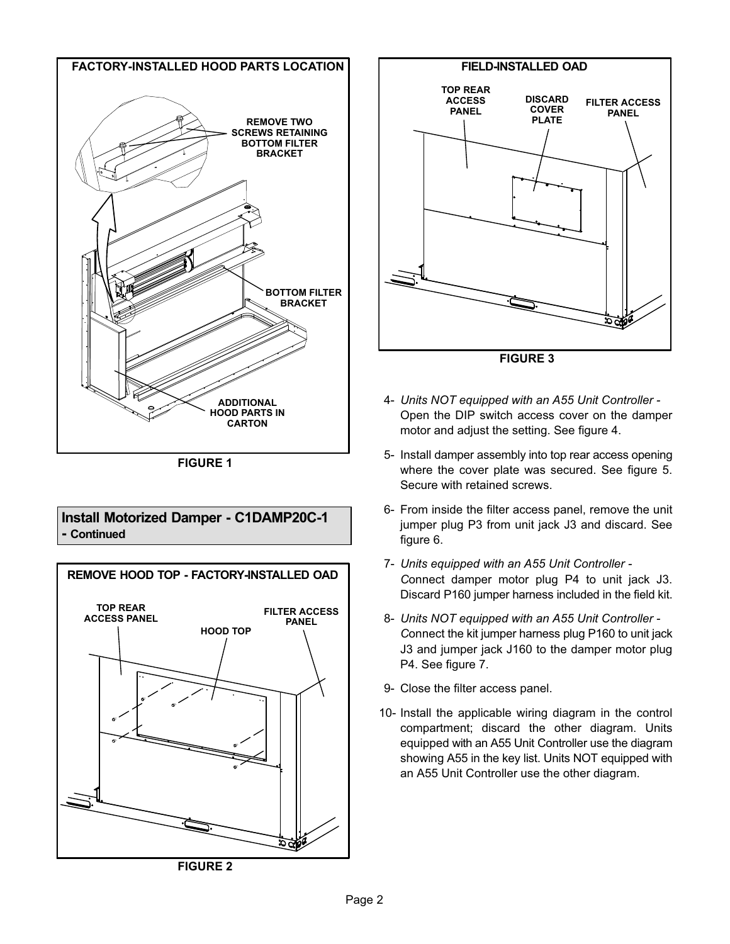<span id="page-1-0"></span>

#### **Install Motorized Damper - C1DAMP20C-1 - Continued**





**FIGURE 3**

- 4- *Units NOT equipped with an A55 Unit Controller -* Open the DIP switch access cover on the damper motor and adjust the setting. See figure [4.](#page-2-0)
- 5- Install damper assembly into top rear access opening where the cover plate was secured. See figure [5](#page-2-0). Secure with retained screws.
- 6- From inside the filter access panel, remove the unit jumper plug P3 from unit jack J3 and discard. See figure [6](#page-2-0).
- 7- *Units equipped with an A55 Unit Controller - C*onnect damper motor plug P4 to unit jack J3. Discard P160 jumper harness included in the field kit.
- 8- *Units NOT equipped with an A55 Unit Controller - C*onnect the kit jumper harness plug P160 to unit jack J3 and jumper jack J160 to the damper motor plug P4. See figure [7](#page-2-0).
- 9- Close the filter access panel.
- 10- Install the applicable wiring diagram in the control compartment; discard the other diagram. Units equipped with an A55 Unit Controller use the diagram showing A55 in the key list. Units NOT equipped with an A55 Unit Controller use the other diagram.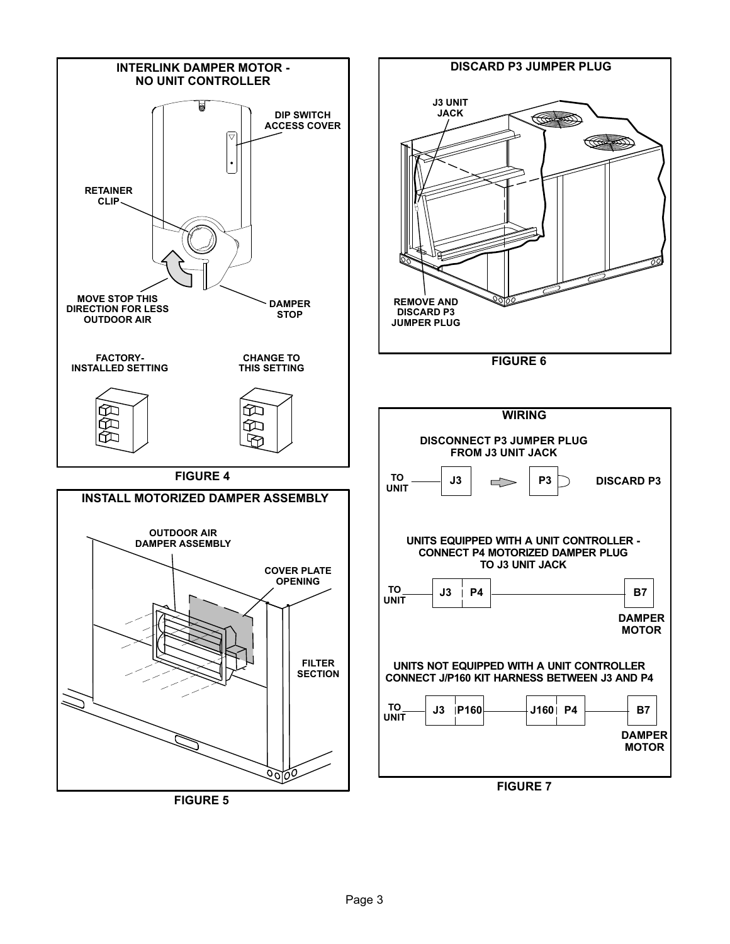<span id="page-2-0"></span>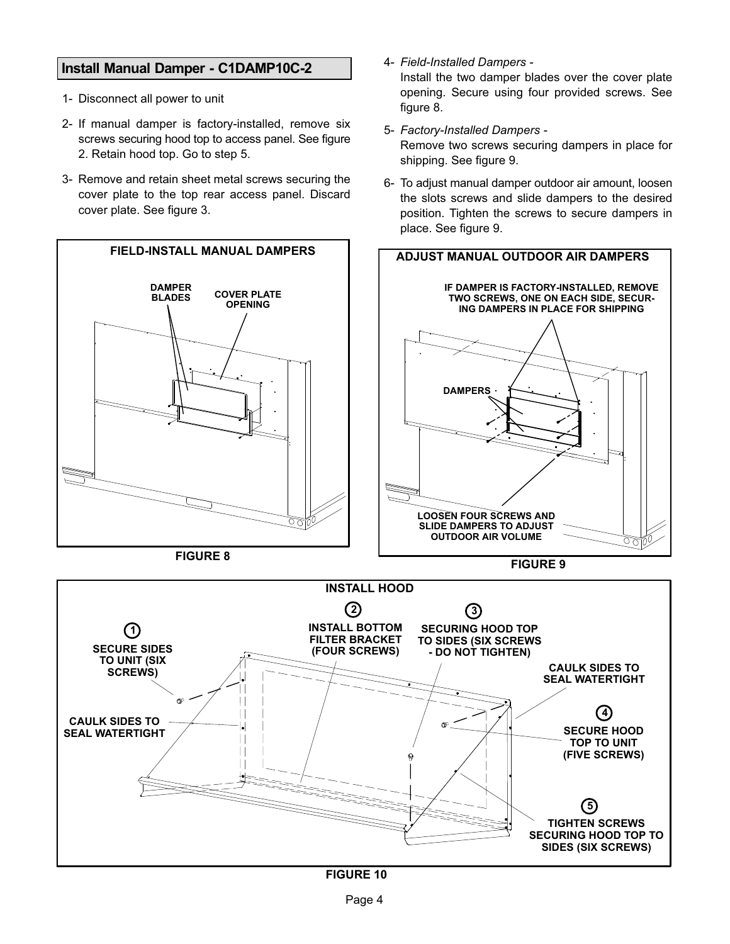#### <span id="page-3-0"></span>**Install Manual Damper - C1DAMP10C-2**

- 1- Disconnect all power to unit
- 2- If manual damper is factory-installed, remove six screws securing hood top to access panel. See figure [2](#page-1-0). Retain hood top. Go to step 5.
- 3- Remove and retain sheet metal screws securing the cover plate to the top rear access panel. Discard cover plate. See figure [3](#page-1-0).



**FIGURE 8**

4- *Field-Installed Dampers -* Install the two damper blades over the cover plate opening. Secure using four provided screws. See figure 8.

5- *Factory-Installed Dampers -*

Remove two screws securing dampers in place for shipping. See figure 9.

6- To adjust manual damper outdoor air amount, loosen the slots screws and slide dampers to the desired position. Tighten the screws to secure dampers in place. See figure 9.

**FIGURE 9**

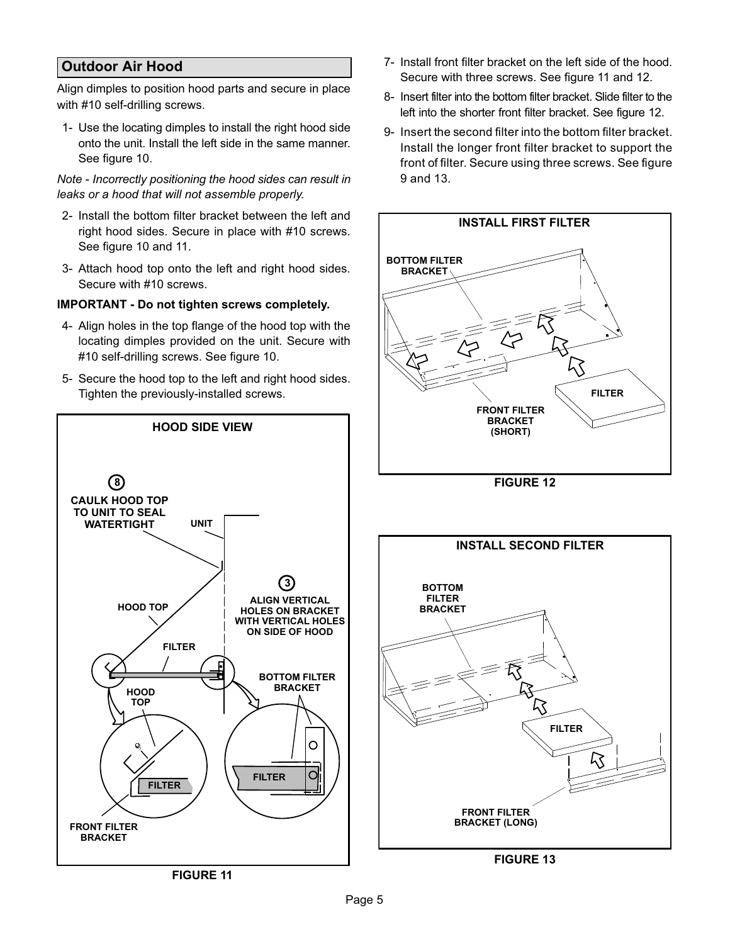## **Outdoor Air Hood**

Align dimples to position hood parts and secure in place with #10 self-drilling screws.

1- Use the locating dimples to install the right hood side onto the unit. Install the left side in the same manner. See figure [10](#page-3-0).

*Note - Incorrectly positioning the hood sides can result in leaks or a hood that will not assemble properly.*

- 2- Install the bottom filter bracket between the left and right hood sides. Secure in place with #10 screws. See figure [10](#page-3-0) and 11.
- 3- Attach hood top onto the left and right hood sides. Secure with #10 screws.

#### **IMPORTANT - Do not tighten screws completely.**

- 4- Align holes in the top flange of the hood top with the locating dimples provided on the unit. Secure with #10 self-drilling screws. See figure [10.](#page-3-0)
- 5- Secure the hood top to the left and right hood sides. Tighten the previously-installed screws.



- 7- Install front filter bracket on the left side of the hood. Secure with three screws. See figure 11 and 12.
- 8- Insert filter into the bottom filter bracket. Slide filter to the left into the shorter front filter bracket. See figure 12.
- 9- Insert the second filter into the bottom filter bracket. Install the longer front filter bracket to support the front of filter. Secure using three screws. See figure 9 and 13.



**FIGURE 13**

**FIGURE 11**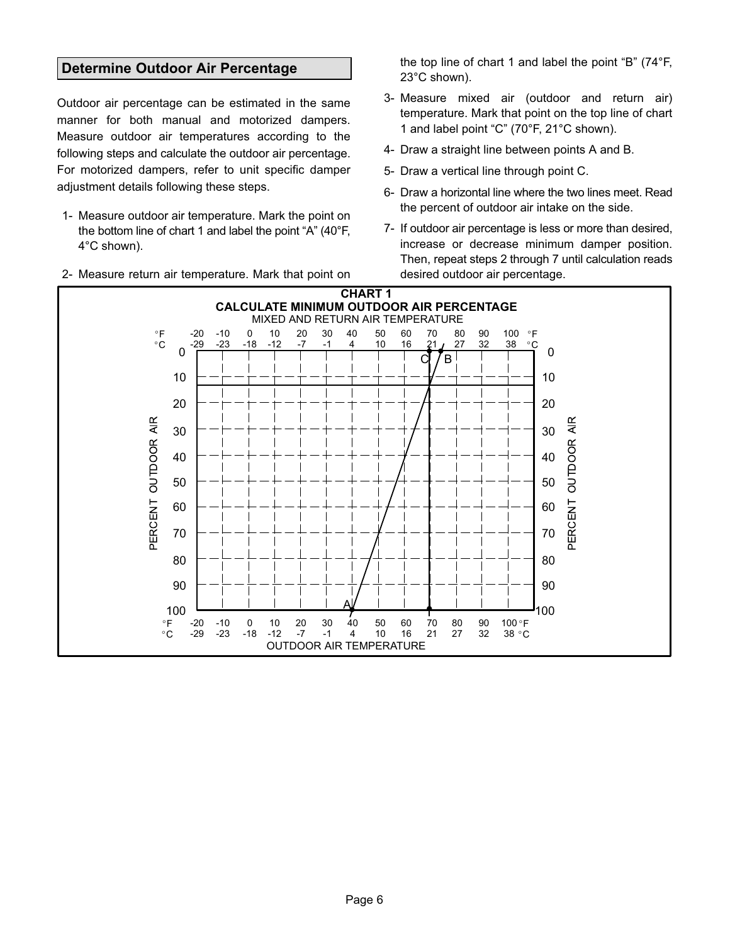#### **Determine Outdoor Air Percentage**

Outdoor air percentage can be estimated in the same manner for both manual and motorized dampers. Measure outdoor air temperatures according to the following steps and calculate the outdoor air percentage. For motorized dampers, refer to unit specific damper adjustment details following these steps.

- 1- Measure outdoor air temperature. Mark the point on the bottom line of chart 1 and label the point "A" (40°F, 4°C shown).
- 2- Measure return air temperature. Mark that point on

the top line of chart 1 and label the point "B" (74°F, 23°C shown).

- 3- Measure mixed air (outdoor and return air) temperature. Mark that point on the top line of chart 1 and label point "C" (70°F, 21°C shown).
- 4- Draw a straight line between points A and B.
- 5- Draw a vertical line through point C.
- 6- Draw a horizontal line where the two lines meet. Read the percent of outdoor air intake on the side.
- 7- If outdoor air percentage is less or more than desired, increase or decrease minimum damper position. Then, repeat steps 2 through 7 until calculation reads desired outdoor air percentage.

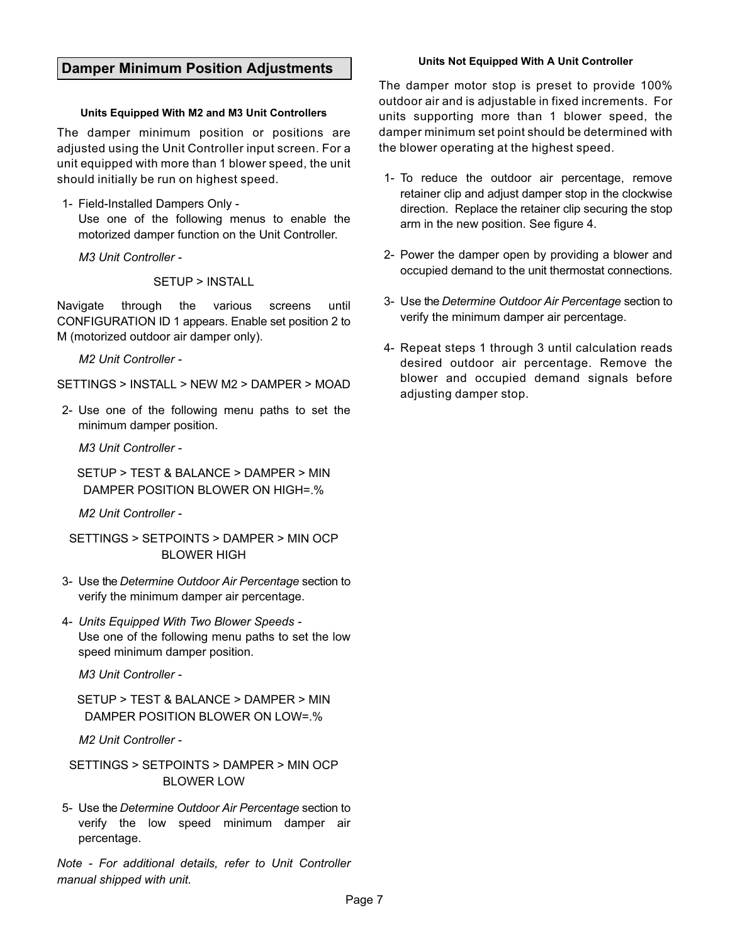#### **Damper Minimum Position Adjustments**

#### **Units Equipped With M2 and M3 Unit Controllers**

The damper minimum position or positions are adjusted using the Unit Controller input screen. For a unit equipped with more than 1 blower speed, the unit should initially be run on highest speed.

1- Field-Installed Dampers Only -

Use one of the following menus to enable the motorized damper function on the Unit Controller.

*M3 Unit Controller -*

SETUP > INSTALL

Navigate through the various screens until CONFIGURATION ID 1 appears. Enable set position 2 to M (motorized outdoor air damper only).

*M2 Unit Controller -*

SETTINGS > INSTALL > NEW M2 > DAMPER > MOAD

2- Use one of the following menu paths to set the minimum damper position.

*M3 Unit Controller -*

SETUP > TEST & BALANCE > DAMPER > MIN DAMPER POSITION BLOWER ON HIGH=.%

*M2 Unit Controller -*

SETTINGS > SETPOINTS > DAMPER > MIN OCP BLOWER HIGH

- 3- Use the *Determine Outdoor Air Percentage* section to verify the minimum damper air percentage.
- 4- *Units Equipped With Two Blower Speeds -* Use one of the following menu paths to set the low speed minimum damper position.

*M3 Unit Controller -*

SETUP > TEST & BALANCE > DAMPER > MIN DAMPER POSITION BLOWER ON LOW=.%

*M2 Unit Controller -*

SETTINGS > SETPOINTS > DAMPER > MIN OCP BLOWER LOW

5- Use the *Determine Outdoor Air Percentage* section to verify the low speed minimum damper air percentage.

*Note - For additional details, refer to Unit Controller manual shipped with unit.*

#### **Units Not Equipped With A Unit Controller**

The damper motor stop is preset to provide 100% outdoor air and is adjustable in fixed increments. For units supporting more than 1 blower speed, the damper minimum set point should be determined with the blower operating at the highest speed.

- 1- To reduce the outdoor air percentage, remove retainer clip and adjust damper stop in the clockwise direction. Replace the retainer clip securing the stop arm in the new position. See figure [4.](#page-2-0)
- 2- Power the damper open by providing a blower and occupied demand to the unit thermostat connections.
- 3- Use the *Determine Outdoor Air Percentage* section to verify the minimum damper air percentage.
- 4- Repeat steps 1 through 3 until calculation reads desired outdoor air percentage. Remove the blower and occupied demand signals before adjusting damper stop.